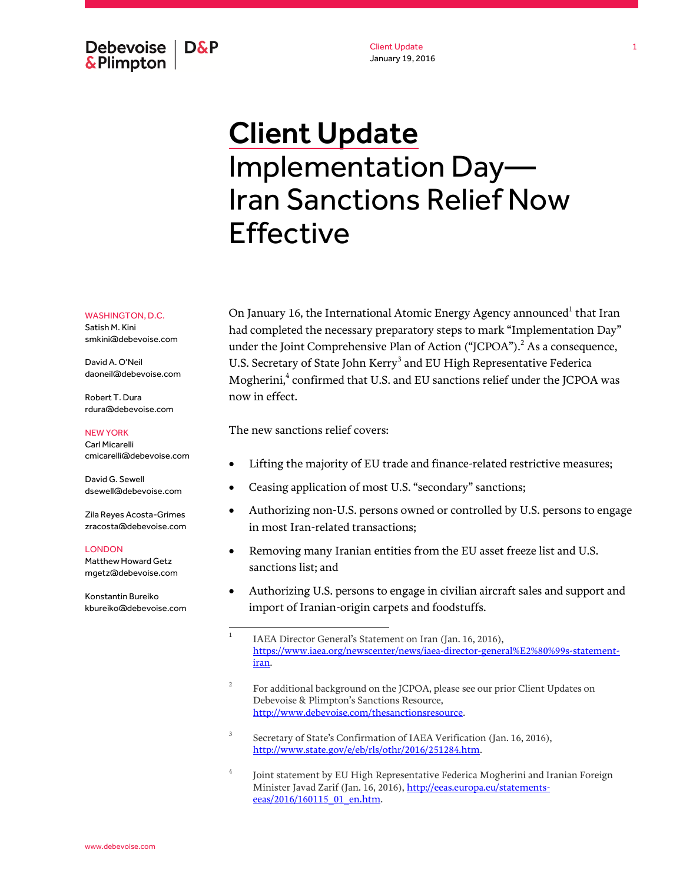Debevoise | D&P **&Plimpton** 

Client Update January 19, 2016

# Client Update Implementation Day— Iran Sanctions Relief Now Effective

WASHINGTON, D.C. Satish M. Kini smkini@debevoise.com

David A. O'Neil daoneil@debevoise.com

Robert T. Dura rdura@debevoise.com

#### NEW YORK

Carl Micarelli cmicarelli@debevoise.com

David G. Sewell dsewell@debevoise.com

Zila Reyes Acosta-Grimes zracosta@debevoise.com

#### LONDON

Matthew Howard Getz mgetz@debevoise.com

Konstantin Bureiko kbureiko@debevoise.com

On January 16, the International Atomic Energy Agency announced $^{\rm 1}$  that Iran had completed the necessary preparatory steps to mark "Implementation Day" under the Joint Comprehensive Plan of Action ("JCPOA").<sup>2</sup> As a consequence, U.S. Secretary of State John Kerry<sup>3</sup> and EU High Representative Federica Mogherini,<sup>4</sup> confirmed that U.S. and EU sanctions relief under the JCPOA was now in effect.

The new sanctions relief covers:

- Lifting the majority of EU trade and finance-related restrictive measures;
- Ceasing application of most U.S. "secondary" sanctions;
- Authorizing non-U.S. persons owned or controlled by U.S. persons to engage in most Iran-related transactions;
- Removing many Iranian entities from the EU asset freeze list and U.S. sanctions list; and
- Authorizing U.S. persons to engage in civilian aircraft sales and support and import of Iranian-origin carpets and foodstuffs.

- 2 For additional background on the JCPOA, please see our prior Client Updates on Debevoise & Plimpton's Sanctions Resource, [http://www.debevoise.com/thesanctionsresource.](http://www.debevoise.com/thesanctionsresource)
- 3 Secretary of State's Confirmation of IAEA Verification (Jan. 16, 2016), [http://www.state.gov/e/eb/rls/othr/2016/251284.htm.](http://www.state.gov/e/eb/rls/othr/2016/251284.htm)
- 4 Joint statement by EU High Representative Federica Mogherini and Iranian Foreign Minister Javad Zarif (Jan. 16, 2016)[, http://eeas.europa.eu/statements](http://www.state.gov/e/eb/rls/othr/2016/251284.htmhttp:/eeas.europa.eu/statements-eeas/2016/160115_01_en.htm)[eeas/2016/160115\\_01\\_en.htm.](http://www.state.gov/e/eb/rls/othr/2016/251284.htmhttp:/eeas.europa.eu/statements-eeas/2016/160115_01_en.htm)

 $\frac{1}{1}$ IAEA Director General's Statement on Iran (Jan. 16, 2016), [https://www.iaea.org/newscenter/news/iaea-director-general%E2%80%99s-statement](https://www.iaea.org/newscenter/news/iaea-director-general%E2%80%99s-statement-iran)[iran.](https://www.iaea.org/newscenter/news/iaea-director-general%E2%80%99s-statement-iran)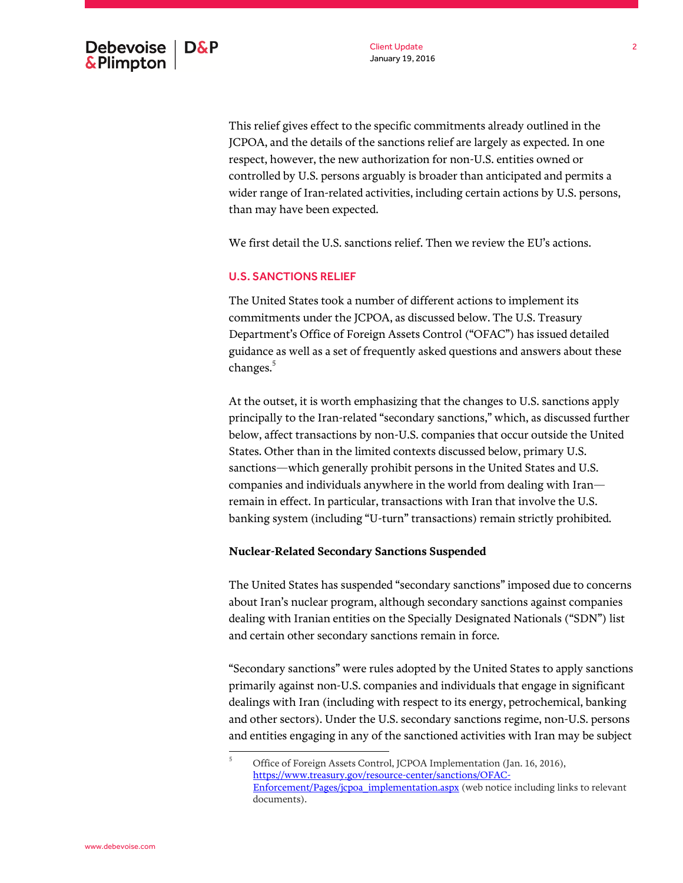This relief gives effect to the specific commitments already outlined in the JCPOA, and the details of the sanctions relief are largely as expected. In one respect, however, the new authorization for non-U.S. entities owned or controlled by U.S. persons arguably is broader than anticipated and permits a wider range of Iran-related activities, including certain actions by U.S. persons, than may have been expected.

We first detail the U.S. sanctions relief. Then we review the EU's actions.

## U.S. SANCTIONS RELIEF

The United States took a number of different actions to implement its commitments under the JCPOA, as discussed below. The U.S. Treasury Department's Office of Foreign Assets Control ("OFAC") has issued detailed guidance as well as a set of frequently asked questions and answers about these changes.<sup>5</sup>

At the outset, it is worth emphasizing that the changes to U.S. sanctions apply principally to the Iran-related "secondary sanctions," which, as discussed further below, affect transactions by non-U.S. companies that occur outside the United States. Other than in the limited contexts discussed below, primary U.S. sanctions—which generally prohibit persons in the United States and U.S. companies and individuals anywhere in the world from dealing with Iran remain in effect. In particular, transactions with Iran that involve the U.S. banking system (including "U-turn" transactions) remain strictly prohibited.

### **Nuclear-Related Secondary Sanctions Suspended**

The United States has suspended "secondary sanctions" imposed due to concerns about Iran's nuclear program, although secondary sanctions against companies dealing with Iranian entities on the Specially Designated Nationals ("SDN") list and certain other secondary sanctions remain in force.

"Secondary sanctions" were rules adopted by the United States to apply sanctions primarily against non-U.S. companies and individuals that engage in significant dealings with Iran (including with respect to its energy, petrochemical, banking and other sectors). Under the U.S. secondary sanctions regime, non-U.S. persons and entities engaging in any of the sanctioned activities with Iran may be subject

 $\mathbf 5$ <sup>5</sup> Office of Foreign Assets Control, JCPOA Implementation (Jan. 16, 2016), [https://www.treasury.gov/resource-center/sanctions/OFAC-](https://www.treasury.gov/resource-center/sanctions/OFAC-Enforcement/Pages/jcpoa_implementation.aspx)[Enforcement/Pages/jcpoa\\_implementation.aspx](https://www.treasury.gov/resource-center/sanctions/OFAC-Enforcement/Pages/jcpoa_implementation.aspx) (web notice including links to relevant documents).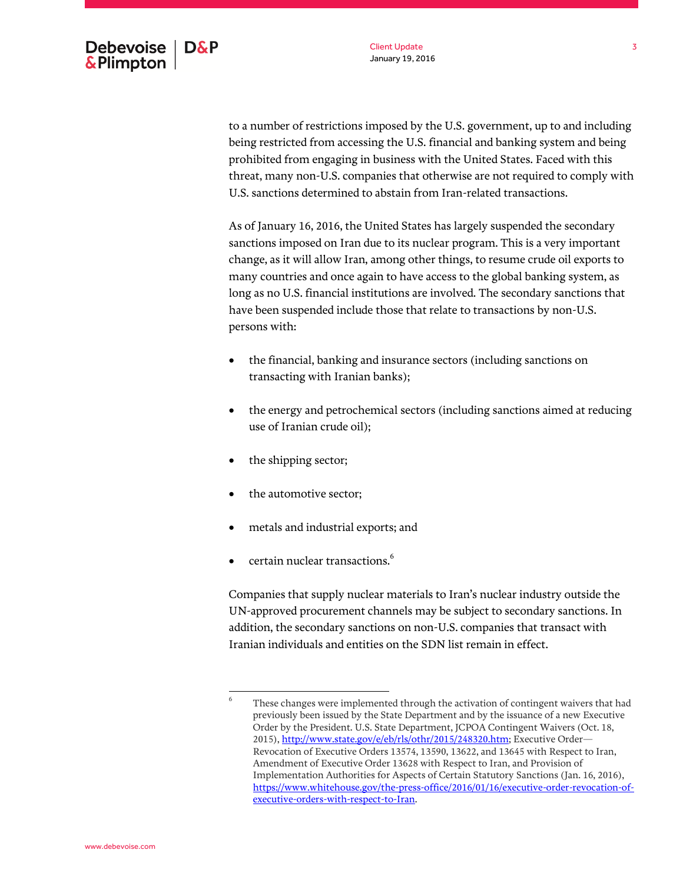to a number of restrictions imposed by the U.S. government, up to and including being restricted from accessing the U.S. financial and banking system and being prohibited from engaging in business with the United States. Faced with this threat, many non-U.S. companies that otherwise are not required to comply with U.S. sanctions determined to abstain from Iran-related transactions.

As of January 16, 2016, the United States has largely suspended the secondary sanctions imposed on Iran due to its nuclear program. This is a very important change, as it will allow Iran, among other things, to resume crude oil exports to many countries and once again to have access to the global banking system, as long as no U.S. financial institutions are involved. The secondary sanctions that have been suspended include those that relate to transactions by non-U.S. persons with:

- the financial, banking and insurance sectors (including sanctions on transacting with Iranian banks);
- the energy and petrochemical sectors (including sanctions aimed at reducing use of Iranian crude oil);
- the shipping sector;
- the automotive sector;
- metals and industrial exports; and
- certain nuclear transactions.<sup>6</sup>

Companies that supply nuclear materials to Iran's nuclear industry outside the UN-approved procurement channels may be subject to secondary sanctions. In addition, the secondary sanctions on non-U.S. companies that transact with Iranian individuals and entities on the SDN list remain in effect.

 6 These changes were implemented through the activation of contingent waivers that had previously been issued by the State Department and by the issuance of a new Executive Order by the President. U.S. State Department, JCPOA Contingent Waivers (Oct. 18, 2015)[, http://www.state.gov/e/eb/rls/othr/2015/248320.htm;](http://www.state.gov/e/eb/rls/othr/2015/248320.htm) Executive Order— Revocation of Executive Orders 13574, 13590, 13622, and 13645 with Respect to Iran, Amendment of Executive Order 13628 with Respect to Iran, and Provision of Implementation Authorities for Aspects of Certain Statutory Sanctions (Jan. 16, 2016), [https://www.whitehouse.gov/the-press-office/2016/01/16/executive-order-revocation-of](https://www.whitehouse.gov/the-press-office/2016/01/16/executive-order-revocation-of-executive-orders-with-respect-to-Iran)[executive-orders-with-respect-to-Iran.](https://www.whitehouse.gov/the-press-office/2016/01/16/executive-order-revocation-of-executive-orders-with-respect-to-Iran)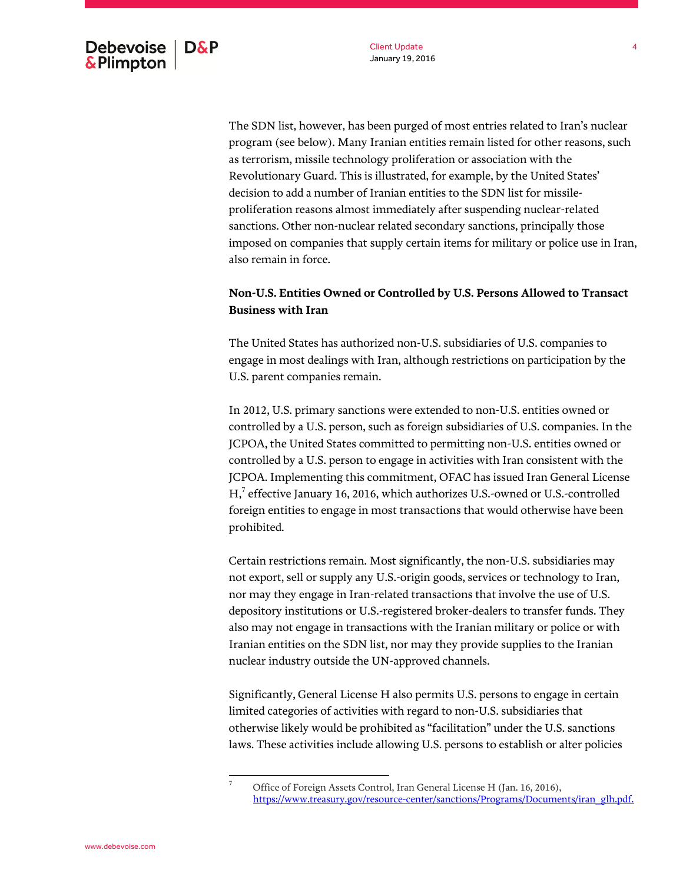The SDN list, however, has been purged of most entries related to Iran's nuclear program (see below). Many Iranian entities remain listed for other reasons, such as terrorism, missile technology proliferation or association with the Revolutionary Guard. This is illustrated, for example, by the United States' decision to add a number of Iranian entities to the SDN list for missileproliferation reasons almost immediately after suspending nuclear-related sanctions. Other non-nuclear related secondary sanctions, principally those imposed on companies that supply certain items for military or police use in Iran, also remain in force.

# **Non-U.S. Entities Owned or Controlled by U.S. Persons Allowed to Transact Business with Iran**

The United States has authorized non-U.S. subsidiaries of U.S. companies to engage in most dealings with Iran, although restrictions on participation by the U.S. parent companies remain.

In 2012, U.S. primary sanctions were extended to non-U.S. entities owned or controlled by a U.S. person, such as foreign subsidiaries of U.S. companies. In the JCPOA, the United States committed to permitting non-U.S. entities owned or controlled by a U.S. person to engage in activities with Iran consistent with the JCPOA. Implementing this commitment, OFAC has issued Iran General License  $H$ , $7$  effective January 16, 2016, which authorizes U.S.-owned or U.S.-controlled foreign entities to engage in most transactions that would otherwise have been prohibited.

Certain restrictions remain. Most significantly, the non-U.S. subsidiaries may not export, sell or supply any U.S.-origin goods, services or technology to Iran, nor may they engage in Iran-related transactions that involve the use of U.S. depository institutions or U.S.-registered broker-dealers to transfer funds. They also may not engage in transactions with the Iranian military or police or with Iranian entities on the SDN list, nor may they provide supplies to the Iranian nuclear industry outside the UN-approved channels.

Significantly, General License H also permits U.S. persons to engage in certain limited categories of activities with regard to non-U.S. subsidiaries that otherwise likely would be prohibited as "facilitation" under the U.S. sanctions laws. These activities include allowing U.S. persons to establish or alter policies

 $\overline{\phantom{a}}$ Office of Foreign Assets Control, Iran General License H (Jan. 16, 2016), [https://www.treasury.gov/resource-center/sanctions/Programs/Documents/iran\\_glh.pdf.](https://www.treasury.gov/resource-center/sanctions/Programs/Documents/iran_glh.pdf)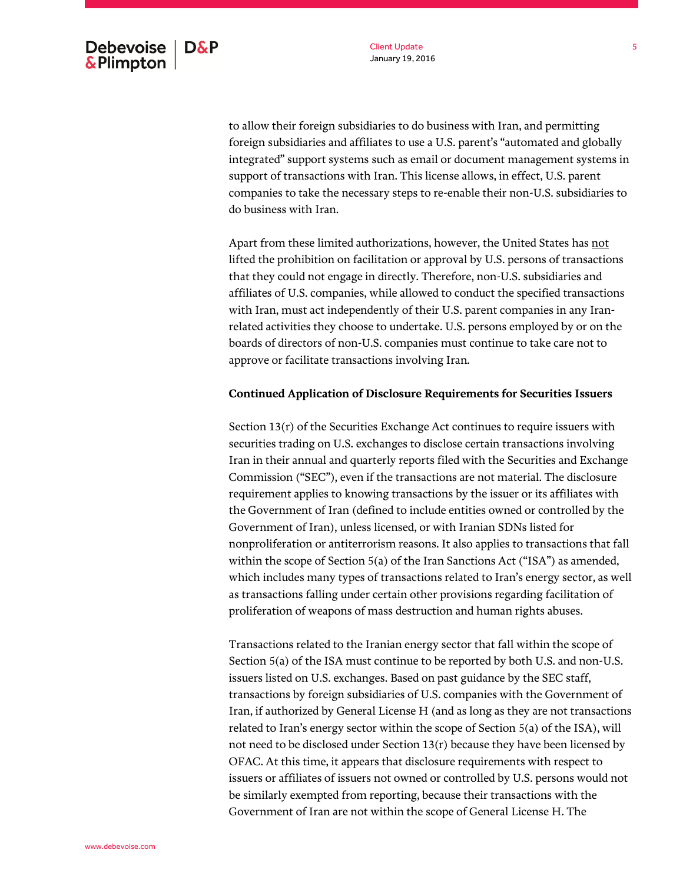to allow their foreign subsidiaries to do business with Iran, and permitting foreign subsidiaries and affiliates to use a U.S. parent's "automated and globally integrated" support systems such as email or document management systems in support of transactions with Iran. This license allows, in effect, U.S. parent companies to take the necessary steps to re-enable their non-U.S. subsidiaries to do business with Iran.

Apart from these limited authorizations, however, the United States has not lifted the prohibition on facilitation or approval by U.S. persons of transactions that they could not engage in directly. Therefore, non-U.S. subsidiaries and affiliates of U.S. companies, while allowed to conduct the specified transactions with Iran, must act independently of their U.S. parent companies in any Iranrelated activities they choose to undertake. U.S. persons employed by or on the boards of directors of non-U.S. companies must continue to take care not to approve or facilitate transactions involving Iran.

#### **Continued Application of Disclosure Requirements for Securities Issuers**

Section 13(r) of the Securities Exchange Act continues to require issuers with securities trading on U.S. exchanges to disclose certain transactions involving Iran in their annual and quarterly reports filed with the Securities and Exchange Commission ("SEC"), even if the transactions are not material. The disclosure requirement applies to knowing transactions by the issuer or its affiliates with the Government of Iran (defined to include entities owned or controlled by the Government of Iran), unless licensed, or with Iranian SDNs listed for nonproliferation or antiterrorism reasons. It also applies to transactions that fall within the scope of Section 5(a) of the Iran Sanctions Act ("ISA") as amended, which includes many types of transactions related to Iran's energy sector, as well as transactions falling under certain other provisions regarding facilitation of proliferation of weapons of mass destruction and human rights abuses.

Transactions related to the Iranian energy sector that fall within the scope of Section 5(a) of the ISA must continue to be reported by both U.S. and non-U.S. issuers listed on U.S. exchanges. Based on past guidance by the SEC staff, transactions by foreign subsidiaries of U.S. companies with the Government of Iran, if authorized by General License H (and as long as they are not transactions related to Iran's energy sector within the scope of Section 5(a) of the ISA), will not need to be disclosed under Section 13(r) because they have been licensed by OFAC. At this time, it appears that disclosure requirements with respect to issuers or affiliates of issuers not owned or controlled by U.S. persons would not be similarly exempted from reporting, because their transactions with the Government of Iran are not within the scope of General License H. The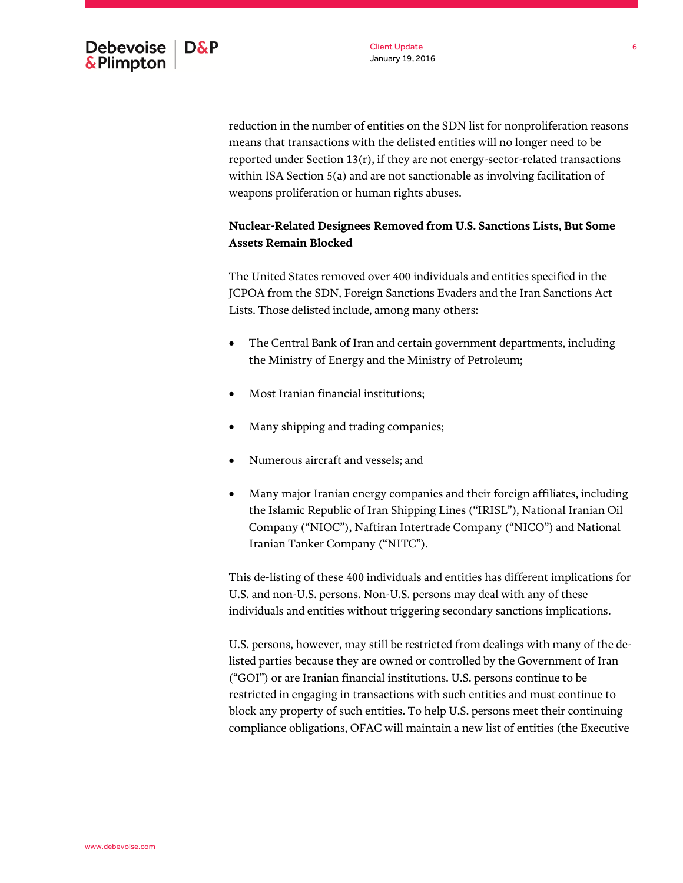

reduction in the number of entities on the SDN list for nonproliferation reasons means that transactions with the delisted entities will no longer need to be reported under Section 13(r), if they are not energy-sector-related transactions within ISA Section 5(a) and are not sanctionable as involving facilitation of weapons proliferation or human rights abuses.

# **Nuclear-Related Designees Removed from U.S. Sanctions Lists, But Some Assets Remain Blocked**

The United States removed over 400 individuals and entities specified in the JCPOA from the SDN, Foreign Sanctions Evaders and the Iran Sanctions Act Lists. Those delisted include, among many others:

- The Central Bank of Iran and certain government departments, including the Ministry of Energy and the Ministry of Petroleum;
- Most Iranian financial institutions;
- Many shipping and trading companies;
- Numerous aircraft and vessels; and
- Many major Iranian energy companies and their foreign affiliates, including the Islamic Republic of Iran Shipping Lines ("IRISL"), National Iranian Oil Company ("NIOC"), Naftiran Intertrade Company ("NICO") and National Iranian Tanker Company ("NITC").

This de-listing of these 400 individuals and entities has different implications for U.S. and non-U.S. persons. Non-U.S. persons may deal with any of these individuals and entities without triggering secondary sanctions implications.

U.S. persons, however, may still be restricted from dealings with many of the delisted parties because they are owned or controlled by the Government of Iran ("GOI") or are Iranian financial institutions. U.S. persons continue to be restricted in engaging in transactions with such entities and must continue to block any property of such entities. To help U.S. persons meet their continuing compliance obligations, OFAC will maintain a new list of entities (the Executive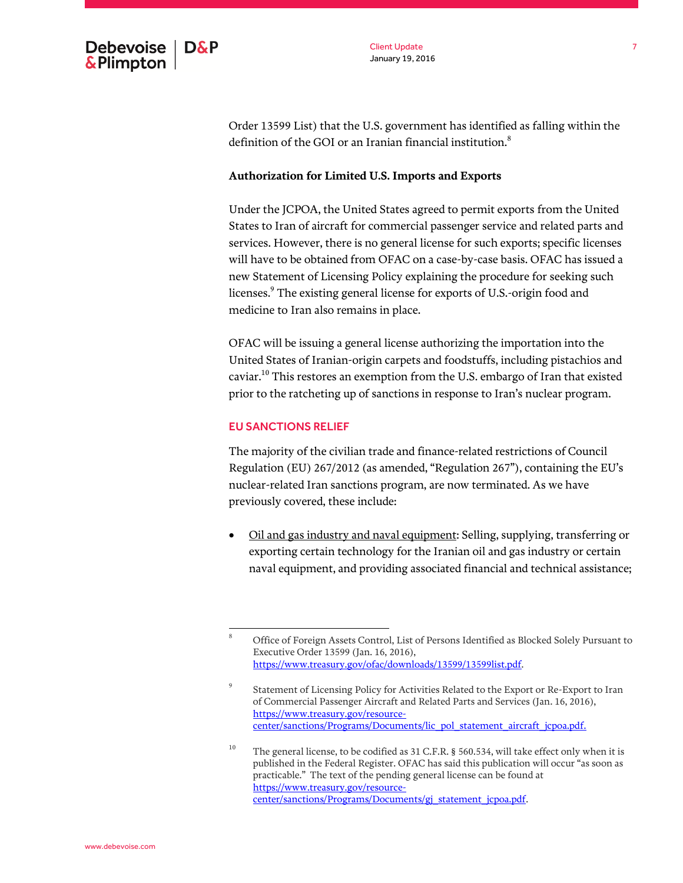

Order 13599 List) that the U.S. government has identified as falling within the definition of the GOI or an Iranian financial institution.<sup>8</sup>

#### **Authorization for Limited U.S. Imports and Exports**

Under the JCPOA, the United States agreed to permit exports from the United States to Iran of aircraft for commercial passenger service and related parts and services. However, there is no general license for such exports; specific licenses will have to be obtained from OFAC on a case-by-case basis. OFAC has issued a new Statement of Licensing Policy explaining the procedure for seeking such licenses.<sup>9</sup> The existing general license for exports of U.S.-origin food and medicine to Iran also remains in place.

OFAC will be issuing a general license authorizing the importation into the United States of Iranian-origin carpets and foodstuffs, including pistachios and caviar. $^{10}$  This restores an exemption from the U.S. embargo of Iran that existed prior to the ratcheting up of sanctions in response to Iran's nuclear program.

#### EU SANCTIONS RELIEF

The majority of the civilian trade and finance-related restrictions of Council Regulation (EU) 267/2012 (as amended, "Regulation 267"), containing the EU's nuclear-related Iran sanctions program, are now terminated. As we have previously covered, these include:

 Oil and gas industry and naval equipment: Selling, supplying, transferring or exporting certain technology for the Iranian oil and gas industry or certain naval equipment, and providing associated financial and technical assistance;

 $\,$  8  $\,$ <sup>8</sup> Office of Foreign Assets Control, List of Persons Identified as Blocked Solely Pursuant to Executive Order 13599 (Jan. 16, 2016), [https://www.treasury.gov/ofac/downloads/13599/13599list.pdf.](https://www.treasury.gov/ofac/downloads/13599/13599list.pdf) 

<sup>9</sup> Statement of Licensing Policy for Activities Related to the Export or Re-Export to Iran of Commercial Passenger Aircraft and Related Parts and Services (Jan. 16, 2016), [https://www.treasury.gov/resource](https://www.treasury.gov/resource-center/sanctions/Programs/Documents/lic_pol_statement_aircraft_jcpoa.pdf)[center/sanctions/Programs/Documents/lic\\_pol\\_statement\\_aircraft\\_jcpoa.pdf.](https://www.treasury.gov/resource-center/sanctions/Programs/Documents/lic_pol_statement_aircraft_jcpoa.pdf)

<sup>&</sup>lt;sup>10</sup> The general license, to be codified as 31 C.F.R. § 560.534, will take effect only when it is published in the Federal Register. OFAC has said this publication will occur "as soon as practicable." The text of the pending general license can be found at [https://www.treasury.gov/resource](https://www.treasury.gov/resource-center/sanctions/Programs/Documents/gj_statement_jcpoa.pdf)[center/sanctions/Programs/Documents/gj\\_statement\\_jcpoa.pdf.](https://www.treasury.gov/resource-center/sanctions/Programs/Documents/gj_statement_jcpoa.pdf)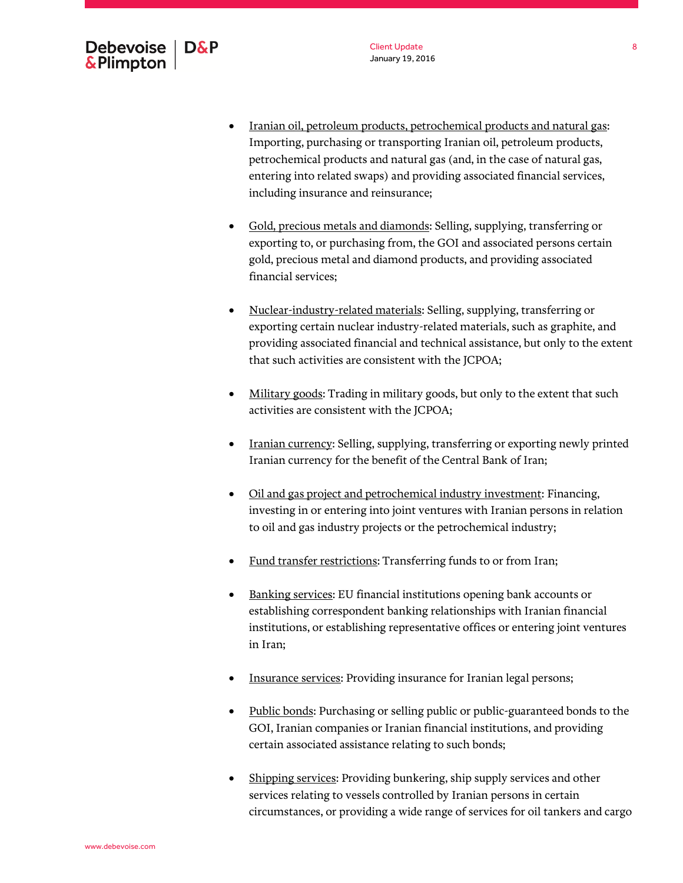- Iranian oil, petroleum products, petrochemical products and natural gas: Importing, purchasing or transporting Iranian oil, petroleum products, petrochemical products and natural gas (and, in the case of natural gas, entering into related swaps) and providing associated financial services, including insurance and reinsurance;
- Gold, precious metals and diamonds: Selling, supplying, transferring or exporting to, or purchasing from, the GOI and associated persons certain gold, precious metal and diamond products, and providing associated financial services;
- Nuclear-industry-related materials: Selling, supplying, transferring or exporting certain nuclear industry-related materials, such as graphite, and providing associated financial and technical assistance, but only to the extent that such activities are consistent with the JCPOA;
- Military goods: Trading in military goods, but only to the extent that such activities are consistent with the JCPOA;
- Iranian currency: Selling, supplying, transferring or exporting newly printed Iranian currency for the benefit of the Central Bank of Iran;
- Oil and gas project and petrochemical industry investment: Financing, investing in or entering into joint ventures with Iranian persons in relation to oil and gas industry projects or the petrochemical industry;
- Fund transfer restrictions: Transferring funds to or from Iran;
- Banking services: EU financial institutions opening bank accounts or establishing correspondent banking relationships with Iranian financial institutions, or establishing representative offices or entering joint ventures in Iran;
- Insurance services: Providing insurance for Iranian legal persons;
- Public bonds: Purchasing or selling public or public-guaranteed bonds to the GOI, Iranian companies or Iranian financial institutions, and providing certain associated assistance relating to such bonds;
- Shipping services: Providing bunkering, ship supply services and other services relating to vessels controlled by Iranian persons in certain circumstances, or providing a wide range of services for oil tankers and cargo

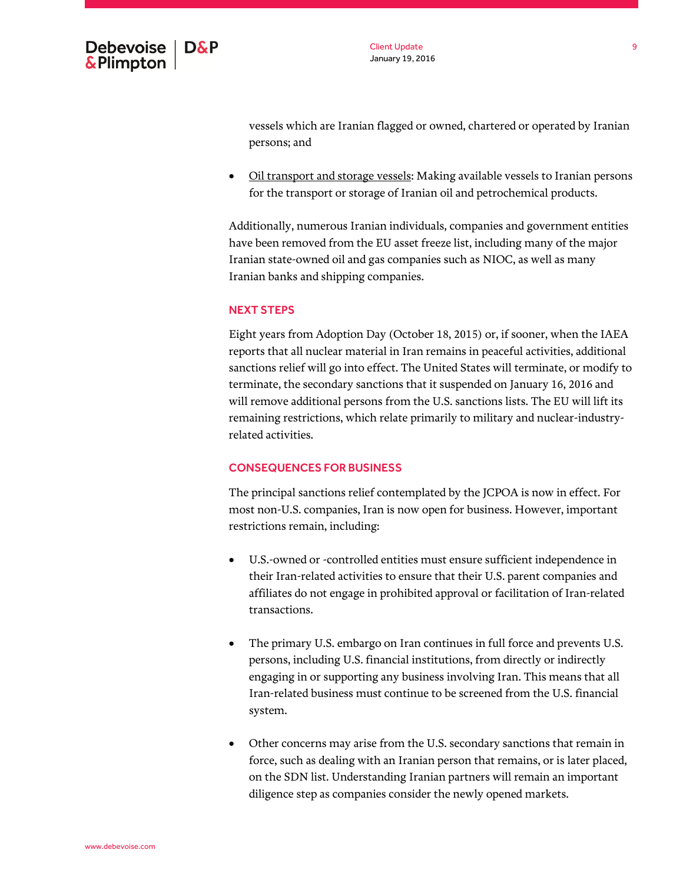

vessels which are Iranian flagged or owned, chartered or operated by Iranian persons; and

• Oil transport and storage vessels: Making available vessels to Iranian persons for the transport or storage of Iranian oil and petrochemical products.

Additionally, numerous Iranian individuals, companies and government entities have been removed from the EU asset freeze list, including many of the major Iranian state-owned oil and gas companies such as NIOC, as well as many Iranian banks and shipping companies.

## NEXT STEPS

Eight years from Adoption Day (October 18, 2015) or, if sooner, when the IAEA reports that all nuclear material in Iran remains in peaceful activities, additional sanctions relief will go into effect. The United States will terminate, or modify to terminate, the secondary sanctions that it suspended on January 16, 2016 and will remove additional persons from the U.S. sanctions lists. The EU will lift its remaining restrictions, which relate primarily to military and nuclear-industryrelated activities.

#### CONSEQUENCES FOR BUSINESS

The principal sanctions relief contemplated by the JCPOA is now in effect. For most non-U.S. companies, Iran is now open for business. However, important restrictions remain, including:

- U.S.-owned or -controlled entities must ensure sufficient independence in their Iran-related activities to ensure that their U.S. parent companies and affiliates do not engage in prohibited approval or facilitation of Iran-related transactions.
- The primary U.S. embargo on Iran continues in full force and prevents U.S. persons, including U.S. financial institutions, from directly or indirectly engaging in or supporting any business involving Iran. This means that all Iran-related business must continue to be screened from the U.S. financial system.
- Other concerns may arise from the U.S. secondary sanctions that remain in force, such as dealing with an Iranian person that remains, or is later placed, on the SDN list. Understanding Iranian partners will remain an important diligence step as companies consider the newly opened markets.